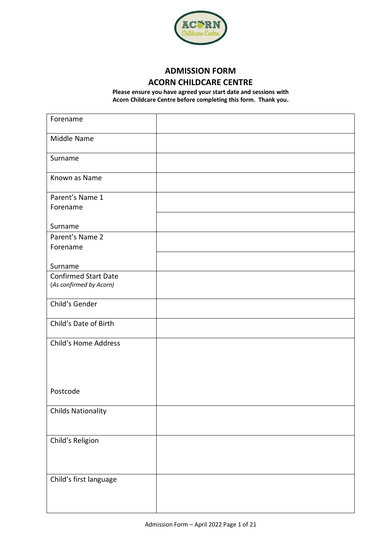

# **ADMISSION FORM ACORN CHILDCARE CENTRE**

**Please ensure you have agreed your start date and sessions with Acorn Childcare Centre before completing this form. Thank you.**

| Forename                    |  |
|-----------------------------|--|
| Middle Name                 |  |
| Surname                     |  |
| Known as Name               |  |
| Parent's Name 1<br>Forename |  |
| Surname                     |  |
| Parent's Name 2<br>Forename |  |
|                             |  |
| Surname                     |  |
| <b>Confirmed Start Date</b> |  |
| (As confirmed by Acorn)     |  |
| Child's Gender              |  |
| Child's Date of Birth       |  |
| Child's Home Address        |  |
|                             |  |
|                             |  |
| Postcode                    |  |
| <b>Childs Nationality</b>   |  |
|                             |  |
| Child's Religion            |  |
|                             |  |
|                             |  |
| Child's first language      |  |
|                             |  |
|                             |  |
|                             |  |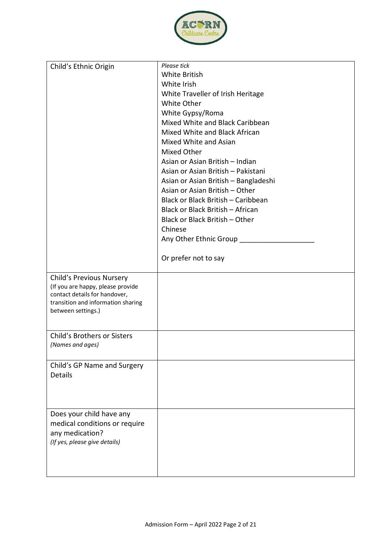

| Child's Ethnic Origin                                              | Please tick                          |
|--------------------------------------------------------------------|--------------------------------------|
|                                                                    | <b>White British</b>                 |
|                                                                    | White Irish                          |
|                                                                    | White Traveller of Irish Heritage    |
|                                                                    | White Other                          |
|                                                                    |                                      |
|                                                                    | White Gypsy/Roma                     |
|                                                                    | Mixed White and Black Caribbean      |
|                                                                    | Mixed White and Black African        |
|                                                                    | Mixed White and Asian                |
|                                                                    | Mixed Other                          |
|                                                                    | Asian or Asian British - Indian      |
|                                                                    | Asian or Asian British - Pakistani   |
|                                                                    | Asian or Asian British - Bangladeshi |
|                                                                    | Asian or Asian British - Other       |
|                                                                    | Black or Black British - Caribbean   |
|                                                                    | Black or Black British - African     |
|                                                                    | Black or Black British - Other       |
|                                                                    |                                      |
|                                                                    | Chinese                              |
|                                                                    | Any Other Ethnic Group ____          |
|                                                                    | Or prefer not to say                 |
|                                                                    |                                      |
| <b>Child's Previous Nursery</b>                                    |                                      |
| (If you are happy, please provide<br>contact details for handover, |                                      |
| transition and information sharing                                 |                                      |
| between settings.)                                                 |                                      |
|                                                                    |                                      |
|                                                                    |                                      |
| <b>Child's Brothers or Sisters</b>                                 |                                      |
| (Names and ages)                                                   |                                      |
|                                                                    |                                      |
| Child's GP Name and Surgery                                        |                                      |
| Details                                                            |                                      |
|                                                                    |                                      |
|                                                                    |                                      |
|                                                                    |                                      |
| Does your child have any                                           |                                      |
| medical conditions or require                                      |                                      |
| any medication?                                                    |                                      |
| (If yes, please give details)                                      |                                      |
|                                                                    |                                      |
|                                                                    |                                      |
|                                                                    |                                      |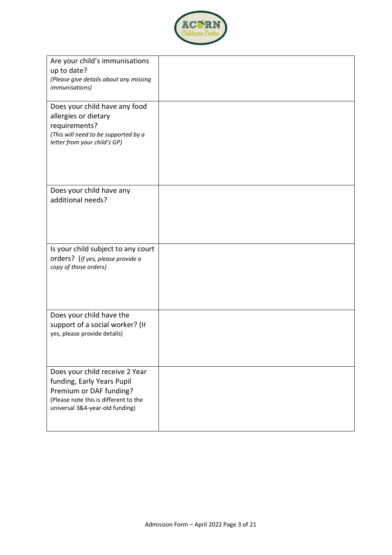

| Are your child's immunisations<br>up to date?<br>(Please give details about any missing<br><i>immunisations</i> )                                                   |  |
|---------------------------------------------------------------------------------------------------------------------------------------------------------------------|--|
| Does your child have any food<br>allergies or dietary<br>requirements?<br>(This will need to be supported by a<br>letter from your child's GP)                      |  |
| Does your child have any<br>additional needs?                                                                                                                       |  |
| Is your child subject to any court<br>orders? (If yes, please provide a<br>copy of those orders)                                                                    |  |
| Does your child have the<br>support of a social worker? (If<br>yes, please provide details)                                                                         |  |
| Does your child receive 2 Year<br>funding, Early Years Pupil<br>Premium or DAF funding?<br>(Please note this is different to the<br>universal 3&4-year-old funding) |  |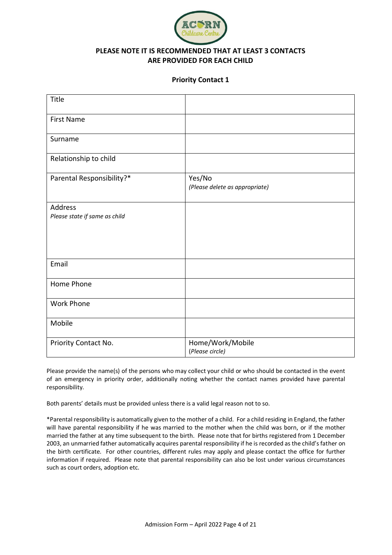

## **PLEASE NOTE IT IS RECOMMENDED THAT AT LEAST 3 CONTACTS ARE PROVIDED FOR EACH CHILD**

#### **Priority Contact 1**

| Title                                           |                                          |
|-------------------------------------------------|------------------------------------------|
| <b>First Name</b>                               |                                          |
| Surname                                         |                                          |
| Relationship to child                           |                                          |
| Parental Responsibility?*                       | Yes/No<br>(Please delete as appropriate) |
| <b>Address</b><br>Please state if same as child |                                          |
| Email                                           |                                          |
| Home Phone                                      |                                          |
| <b>Work Phone</b>                               |                                          |
| Mobile                                          |                                          |
| Priority Contact No.                            | Home/Work/Mobile<br>(Please circle)      |

Please provide the name(s) of the persons who may collect your child or who should be contacted in the event of an emergency in priority order, additionally noting whether the contact names provided have parental responsibility.

Both parents' details must be provided unless there is a valid legal reason not to so.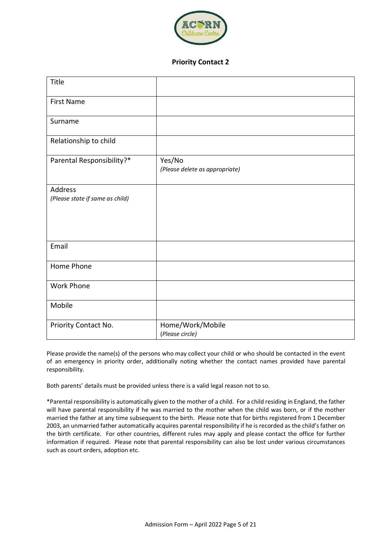

#### **Priority Contact 2**

| Title                                             |                                          |
|---------------------------------------------------|------------------------------------------|
| <b>First Name</b>                                 |                                          |
| Surname                                           |                                          |
| Relationship to child                             |                                          |
| Parental Responsibility?*                         | Yes/No<br>(Please delete as appropriate) |
| <b>Address</b><br>(Please state if same as child) |                                          |
| Email                                             |                                          |
| Home Phone                                        |                                          |
| <b>Work Phone</b>                                 |                                          |
| Mobile                                            |                                          |
| Priority Contact No.                              | Home/Work/Mobile<br>(Please circle)      |

Please provide the name(s) of the persons who may collect your child or who should be contacted in the event of an emergency in priority order, additionally noting whether the contact names provided have parental responsibility.

Both parents' details must be provided unless there is a valid legal reason not to so.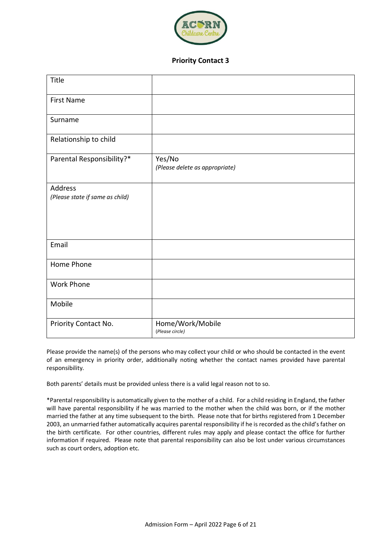

#### **Priority Contact 3**

| Title                                      |                                          |
|--------------------------------------------|------------------------------------------|
| <b>First Name</b>                          |                                          |
| Surname                                    |                                          |
| Relationship to child                      |                                          |
| Parental Responsibility?*                  | Yes/No<br>(Please delete as appropriate) |
| Address<br>(Please state if same as child) |                                          |
| Email                                      |                                          |
| Home Phone                                 |                                          |
| <b>Work Phone</b>                          |                                          |
| Mobile                                     |                                          |
| Priority Contact No.                       | Home/Work/Mobile<br>(Please circle)      |

Please provide the name(s) of the persons who may collect your child or who should be contacted in the event of an emergency in priority order, additionally noting whether the contact names provided have parental responsibility.

Both parents' details must be provided unless there is a valid legal reason not to so.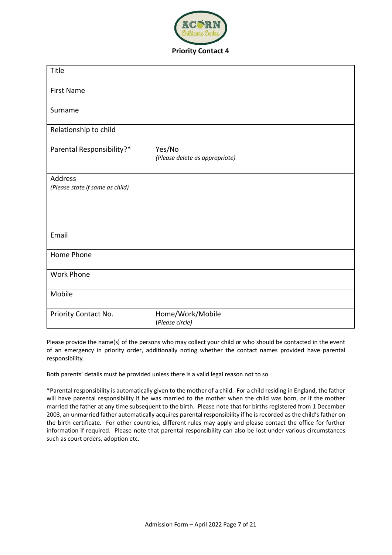

| Title                                      |                                          |
|--------------------------------------------|------------------------------------------|
| <b>First Name</b>                          |                                          |
| Surname                                    |                                          |
| Relationship to child                      |                                          |
| Parental Responsibility?*                  | Yes/No<br>(Please delete as appropriate) |
| Address<br>(Please state if same as child) |                                          |
| Email                                      |                                          |
| Home Phone                                 |                                          |
| Work Phone                                 |                                          |
| Mobile                                     |                                          |
| Priority Contact No.                       | Home/Work/Mobile                         |

Please provide the name(s) of the persons who may collect your child or who should be contacted in the event of an emergency in priority order, additionally noting whether the contact names provided have parental responsibility.

Both parents' details must be provided unless there is a valid legal reason not to so.

(*Please circle)*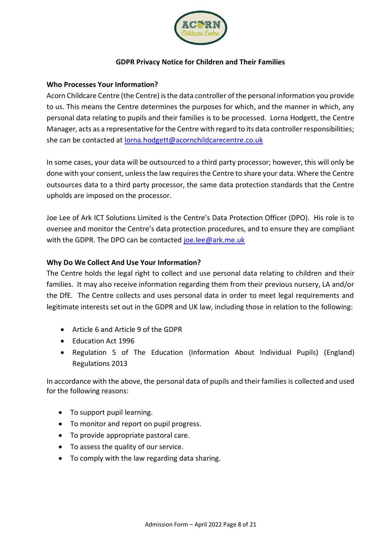

## **GDPR Privacy Notice for Children and Their Families**

### **Who Processes Your Information?**

Acorn Childcare Centre (the Centre) is the data controller of the personal information you provide to us. This means the Centre determines the purposes for which, and the manner in which, any personal data relating to pupils and their families is to be processed. Lorna Hodgett, the Centre Manager, acts as a representative for the Centre with regard to its data controller responsibilities; she can be contacted at [lorna.hodgett@acornchildcarecentre.co.uk](mailto:lorna.hodgett@acornchildcarecentre.co.uk)

In some cases, your data will be outsourced to a third party processor; however, this will only be done with your consent, unless the law requires the Centre to share your data. Where the Centre outsources data to a third party processor, the same data protection standards that the Centre upholds are imposed on the processor.

Joe Lee of Ark ICT Solutions Limited is the Centre's Data Protection Officer (DPO). His role is to oversee and monitor the Centre's data protection procedures, and to ensure they are compliant with the GDPR. The DPO can be contacted [joe.lee@ark.me.uk](mailto:joe.lee@ark.me.uk)

## **Why Do We Collect And Use Your Information?**

The Centre holds the legal right to collect and use personal data relating to children and their families. It may also receive information regarding them from their previous nursery, LA and/or the DfE. The Centre collects and uses personal data in order to meet legal requirements and legitimate interests set out in the GDPR and UK law, including those in relation to the following:

- Article 6 and Article 9 of the GDPR
- Education Act 1996
- Regulation 5 of The Education (Information About Individual Pupils) (England) Regulations 2013

In accordance with the above, the personal data of pupils and their families is collected and used for the following reasons:

- To support pupil learning.
- To monitor and report on pupil progress.
- To provide appropriate pastoral care.
- To assess the quality of our service.
- To comply with the law regarding data sharing.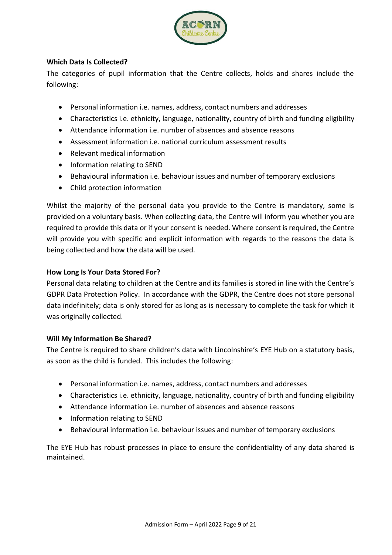

## **Which Data Is Collected?**

The categories of pupil information that the Centre collects, holds and shares include the following:

- Personal information i.e. names, address, contact numbers and addresses
- Characteristics i.e. ethnicity, language, nationality, country of birth and funding eligibility
- Attendance information i.e. number of absences and absence reasons
- Assessment information i.e. national curriculum assessment results
- Relevant medical information
- Information relating to SEND
- Behavioural information i.e. behaviour issues and number of temporary exclusions
- Child protection information

Whilst the majority of the personal data you provide to the Centre is mandatory, some is provided on a voluntary basis. When collecting data, the Centre will inform you whether you are required to provide this data or if your consent is needed. Where consent is required, the Centre will provide you with specific and explicit information with regards to the reasons the data is being collected and how the data will be used.

## **How Long Is Your Data Stored For?**

Personal data relating to children at the Centre and its families is stored in line with the Centre's GDPR Data Protection Policy. In accordance with the GDPR, the Centre does not store personal data indefinitely; data is only stored for as long as is necessary to complete the task for which it was originally collected.

# **Will My Information Be Shared?**

The Centre is required to share children's data with Lincolnshire's EYE Hub on a statutory basis, as soon as the child is funded. This includes the following:

- Personal information i.e. names, address, contact numbers and addresses
- Characteristics i.e. ethnicity, language, nationality, country of birth and funding eligibility
- Attendance information i.e. number of absences and absence reasons
- Information relating to SEND
- Behavioural information i.e. behaviour issues and number of temporary exclusions

The EYE Hub has robust processes in place to ensure the confidentiality of any data shared is maintained.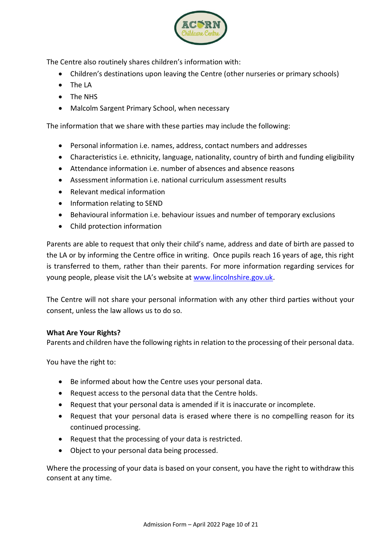

The Centre also routinely shares children's information with:

- Children's destinations upon leaving the Centre (other nurseries or primary schools)
- The LA
- The NHS
- Malcolm Sargent Primary School, when necessary

The information that we share with these parties may include the following:

- Personal information i.e. names, address, contact numbers and addresses
- Characteristics i.e. ethnicity, language, nationality, country of birth and funding eligibility
- Attendance information i.e. number of absences and absence reasons
- Assessment information i.e. national curriculum assessment results
- Relevant medical information
- Information relating to SEND
- Behavioural information i.e. behaviour issues and number of temporary exclusions
- Child protection information

Parents are able to request that only their child's name, address and date of birth are passed to the LA or by informing the Centre office in writing. Once pupils reach 16 years of age, this right is transferred to them, rather than their parents. For more information regarding services for young people, please visit the LA's website at [www.lincolnshire.gov.uk.](http://www.lincolnshire.gov.uk/)

The Centre will not share your personal information with any other third parties without your consent, unless the law allows us to do so.

### **What Are Your Rights?**

Parents and children have the following rights in relation to the processing of their personal data.

You have the right to:

- Be informed about how the Centre uses your personal data.
- Request access to the personal data that the Centre holds.
- Request that your personal data is amended if it is inaccurate or incomplete.
- Request that your personal data is erased where there is no compelling reason for its continued processing.
- Request that the processing of your data is restricted.
- Object to your personal data being processed.

Where the processing of your data is based on your consent, you have the right to withdraw this consent at any time.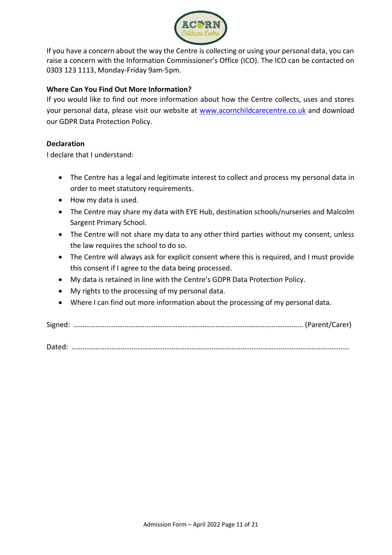

If you have a concern about the way the Centre is collecting or using your personal data, you can raise a concern with the Information Commissioner's Office (ICO). The ICO can be contacted on 0303 123 1113, Monday-Friday 9am-5pm.

## **Where Can You Find Out More Information?**

If you would like to find out more information about how the Centre collects, uses and stores your personal data, please visit our website at [www.acornchildcarecentre.co.uk](http://www.acornchildcarecentre.co.uk/) and download our GDPR Data Protection Policy.

## **Declaration**

I declare that I understand:

- The Centre has a legal and legitimate interest to collect and process my personal data in order to meet statutory requirements.
- How my data is used.
- The Centre may share my data with EYE Hub, destination schools/nurseries and Malcolm Sargent Primary School.
- The Centre will not share my data to any other third parties without my consent, unless the law requires the school to do so.
- The Centre will always ask for explicit consent where this is required, and I must provide this consent if I agree to the data being processed.
- My data is retained in line with the Centre's GDPR Data Protection Policy.
- My rights to the processing of my personal data.
- Where I can find out more information about the processing of my personal data.

Signed: ……………………………………………………………………………………………………………... (Parent/Carer)

Dated: ………………………………………………………………………………………………………………………………………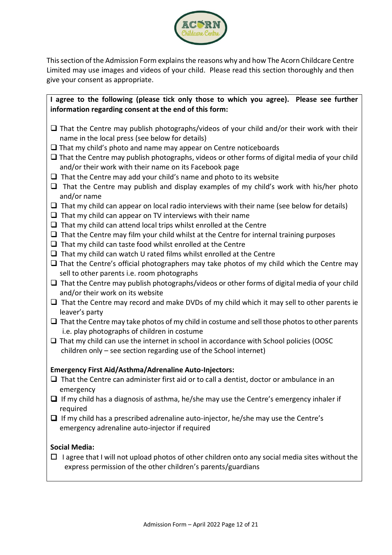

This section of the Admission Form explains the reasons why and how The Acorn Childcare Centre Limited may use images and videos of your child. Please read this section thoroughly and then give your consent as appropriate.

**I agree to the following (please tick only those to which you agree). Please see further information regarding consent at the end of this form:**

- $\Box$  That the Centre may publish photographs/videos of your child and/or their work with their name in the local press (see below for details)
- $\Box$  That my child's photo and name may appear on Centre noticeboards
- $\Box$  That the Centre may publish photographs, videos or other forms of digital media of your child and/or their work with their name on its Facebook page
- $\Box$  That the Centre may add your child's name and photo to its website
- $\Box$  That the Centre may publish and display examples of my child's work with his/her photo and/or name
- $\Box$  That my child can appear on local radio interviews with their name (see below for details)
- $\Box$  That my child can appear on TV interviews with their name
- $\Box$  That my child can attend local trips whilst enrolled at the Centre
- $\Box$  That the Centre may film your child whilst at the Centre for internal training purposes
- $\Box$  That my child can taste food whilst enrolled at the Centre
- $\Box$  That my child can watch U rated films whilst enrolled at the Centre
- $\Box$  That the Centre's official photographers may take photos of my child which the Centre may sell to other parents i.e. room photographs
- $\Box$  That the Centre may publish photographs/videos or other forms of digital media of your child and/or their work on its website
- $\Box$  That the Centre may record and make DVDs of my child which it may sell to other parents ie leaver's party
- $\Box$  That the Centre may take photos of my child in costume and sell those photos to other parents i.e. play photographs of children in costume
- That my child can use the internet in school in accordance with School policies (OOSC children only – see section regarding use of the School internet)

### **Emergency First Aid/Asthma/Adrenaline Auto-Injectors:**

- $\Box$  That the Centre can administer first aid or to call a dentist, doctor or ambulance in an emergency
- If my child has a diagnosis of asthma, he/she may use the Centre's emergency inhaler if required
- $\Box$  If my child has a prescribed adrenaline auto-injector, he/she may use the Centre's emergency adrenaline auto-injector if required

### **Social Media:**

 $\Box$  I agree that I will not upload photos of other children onto any social media sites without the express permission of the other children's parents/guardians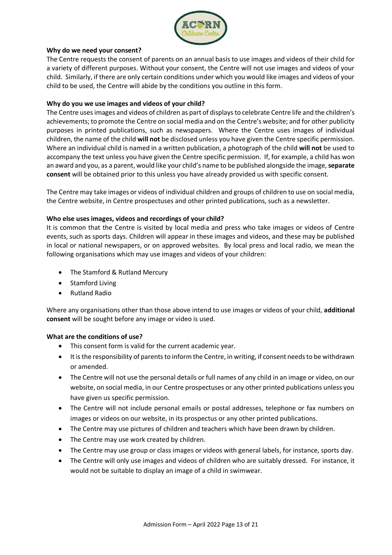

#### **Why do we need your consent?**

The Centre requests the consent of parents on an annual basis to use images and videos of their child for a variety of different purposes. Without your consent, the Centre will not use images and videos of your child. Similarly, if there are only certain conditions under which you would like images and videos of your child to be used, the Centre will abide by the conditions you outline in this form.

#### **Why do you we use images and videos of your child?**

The Centre uses images and videos of children as part of displays to celebrate Centre life and the children's achievements; to promote the Centre on social media and on the Centre's website; and for other publicity purposes in printed publications, such as newspapers. Where the Centre uses images of individual children, the name of the child **will not** be disclosed unless you have given the Centre specific permission. Where an individual child is named in a written publication, a photograph of the child **will not** be used to accompany the text unless you have given the Centre specific permission. If, for example, a child has won an award and you, as a parent, would like your child's name to be published alongside the image, **separate consent** will be obtained prior to this unless you have already provided us with specific consent.

The Centre may take images or videos of individual children and groups of children to use on social media, the Centre website, in Centre prospectuses and other printed publications, such as a newsletter.

#### **Who else uses images, videos and recordings of your child?**

It is common that the Centre is visited by local media and press who take images or videos of Centre events, such as sports days. Children will appear in these images and videos, and these may be published in local or national newspapers, or on approved websites. By local press and local radio, we mean the following organisations which may use images and videos of your children:

- The Stamford & Rutland Mercury
- Stamford Living
- Rutland Radio

Where any organisations other than those above intend to use images or videos of your child, **additional consent** will be sought before any image or video is used.

#### **What are the conditions of use?**

- This consent form is valid for the current academic year.
- It is the responsibility of parents to inform the Centre, in writing, if consent needs to be withdrawn or amended.
- The Centre will not use the personal details or full names of any child in an image or video, on our website, on social media, in our Centre prospectuses or any other printed publications unless you have given us specific permission.
- The Centre will not include personal emails or postal addresses, telephone or fax numbers on images or videos on our website, in its prospectus or any other printed publications.
- The Centre may use pictures of children and teachers which have been drawn by children.
- The Centre may use work created by children.
- The Centre may use group or class images or videos with general labels, for instance, sports day.
- The Centre will only use images and videos of children who are suitably dressed. For instance, it would not be suitable to display an image of a child in swimwear.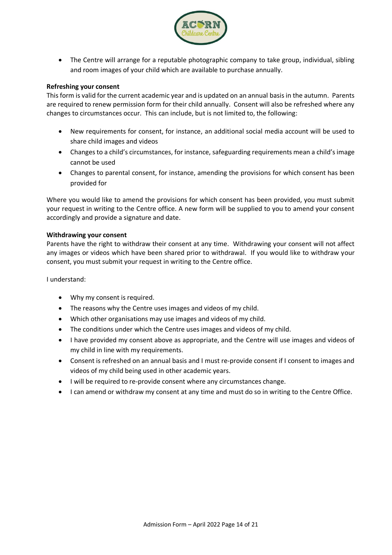

 The Centre will arrange for a reputable photographic company to take group, individual, sibling and room images of your child which are available to purchase annually.

#### **Refreshing your consent**

This form is valid for the current academic year and is updated on an annual basis in the autumn. Parents are required to renew permission form for their child annually. Consent will also be refreshed where any changes to circumstances occur. This can include, but is not limited to, the following:

- New requirements for consent, for instance, an additional social media account will be used to share child images and videos
- Changes to a child's circumstances, for instance, safeguarding requirements mean a child's image cannot be used
- Changes to parental consent, for instance, amending the provisions for which consent has been provided for

Where you would like to amend the provisions for which consent has been provided, you must submit your request in writing to the Centre office. A new form will be supplied to you to amend your consent accordingly and provide a signature and date.

#### **Withdrawing your consent**

Parents have the right to withdraw their consent at any time. Withdrawing your consent will not affect any images or videos which have been shared prior to withdrawal. If you would like to withdraw your consent, you must submit your request in writing to the Centre office.

I understand:

- Why my consent is required.
- The reasons why the Centre uses images and videos of my child.
- Which other organisations may use images and videos of my child.
- The conditions under which the Centre uses images and videos of my child.
- I have provided my consent above as appropriate, and the Centre will use images and videos of my child in line with my requirements.
- Consent is refreshed on an annual basis and I must re-provide consent if I consent to images and videos of my child being used in other academic years.
- I will be required to re-provide consent where any circumstances change.
- I can amend or withdraw my consent at any time and must do so in writing to the Centre Office.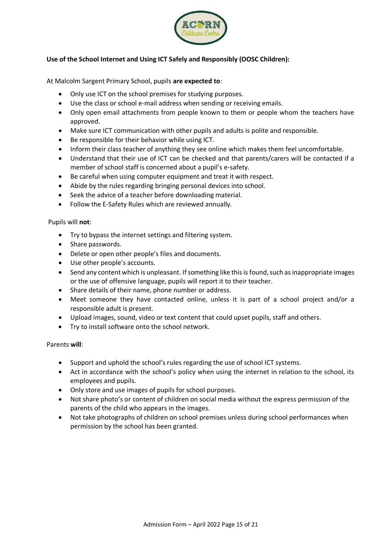

## **Use of the School Internet and Using ICT Safely and Responsibly (OOSC Children):**

At Malcolm Sargent Primary School, pupils **are expected to**:

- Only use ICT on the school premises for studying purposes.
- Use the class or school e-mail address when sending or receiving emails.
- Only open email attachments from people known to them or people whom the teachers have approved.
- Make sure ICT communication with other pupils and adults is polite and responsible.
- Be responsible for their behavior while using ICT.
- Inform their class teacher of anything they see online which makes them feel uncomfortable.
- Understand that their use of ICT can be checked and that parents/carers will be contacted if a member of school staff is concerned about a pupil's e-safety.
- Be careful when using computer equipment and treat it with respect.
- Abide by the rules regarding bringing personal devices into school.
- Seek the advice of a teacher before downloading material.
- Follow the E-Safety Rules which are reviewed annually.

#### Pupils will **not**:

- Try to bypass the internet settings and filtering system.
- Share passwords.
- Delete or open other people's files and documents.
- Use other people's accounts.
- Send any content which is unpleasant. If something like this is found, such as inappropriate images or the use of offensive language, pupils will report it to their teacher.
- Share details of their name, phone number or address.
- Meet someone they have contacted online, unless it is part of a school project and/or a responsible adult is present.
- Upload images, sound, video or text content that could upset pupils, staff and others.
- Try to install software onto the school network.

### Parents **will**:

- Support and uphold the school's rules regarding the use of school ICT systems.
- Act in accordance with the school's policy when using the internet in relation to the school, its employees and pupils.
- Only store and use images of pupils for school purposes.
- Not share photo's or content of children on social media without the express permission of the parents of the child who appears in the images.
- Not take photographs of children on school premises unless during school performances when permission by the school has been granted.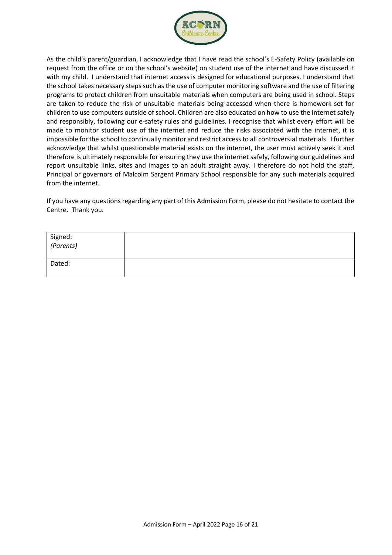

As the child's parent/guardian, I acknowledge that I have read the school's E-Safety Policy (available on request from the office or on the school's website) on student use of the internet and have discussed it with my child. I understand that internet access is designed for educational purposes. I understand that the school takes necessary steps such as the use of computer monitoring software and the use of filtering programs to protect children from unsuitable materials when computers are being used in school. Steps are taken to reduce the risk of unsuitable materials being accessed when there is homework set for children to use computers outside of school. Children are also educated on how to use the internet safely and responsibly, following our e-safety rules and guidelines. I recognise that whilst every effort will be made to monitor student use of the internet and reduce the risks associated with the internet, it is impossible for the school to continually monitor and restrict access to all controversial materials. I further acknowledge that whilst questionable material exists on the internet, the user must actively seek it and therefore is ultimately responsible for ensuring they use the internet safely, following our guidelines and report unsuitable links, sites and images to an adult straight away. I therefore do not hold the staff, Principal or governors of Malcolm Sargent Primary School responsible for any such materials acquired from the internet.

If you have any questions regarding any part of this Admission Form, please do not hesitate to contact the Centre. Thank you.

| Signed:<br>(Parents) |  |
|----------------------|--|
| Dated:               |  |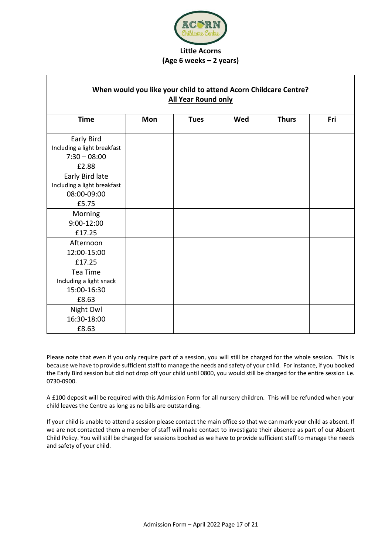

# **(Age 6 weeks – 2 years)**

| When would you like your child to attend Acorn Childcare Centre?<br><b>All Year Round only</b> |     |             |     |              |     |
|------------------------------------------------------------------------------------------------|-----|-------------|-----|--------------|-----|
| <b>Time</b>                                                                                    | Mon | <b>Tues</b> | Wed | <b>Thurs</b> | Fri |
| Early Bird<br>Including a light breakfast<br>$7:30 - 08:00$<br>£2.88                           |     |             |     |              |     |
| Early Bird late<br>Including a light breakfast<br>08:00-09:00                                  |     |             |     |              |     |
| £5.75<br>Morning<br>$9:00 - 12:00$<br>£17.25                                                   |     |             |     |              |     |
| Afternoon<br>12:00-15:00<br>£17.25                                                             |     |             |     |              |     |
| Tea Time<br>Including a light snack<br>15:00-16:30<br>£8.63                                    |     |             |     |              |     |
| Night Owl<br>16:30-18:00<br>£8.63                                                              |     |             |     |              |     |

Please note that even if you only require part of a session, you will still be charged for the whole session. This is because we have to provide sufficient staff to manage the needs and safety of your child. For instance, if you booked the Early Bird session but did not drop off your child until 0800, you would still be charged for the entire session i.e. 0730-0900.

A £100 deposit will be required with this Admission Form for all nursery children. This will be refunded when your child leaves the Centre as long as no bills are outstanding.

If your child is unable to attend a session please contact the main office so that we can mark your child as absent. If we are not contacted them a member of staff will make contact to investigate their absence as part of our Absent Child Policy. You will still be charged for sessions booked as we have to provide sufficient staff to manage the needs and safety of your child.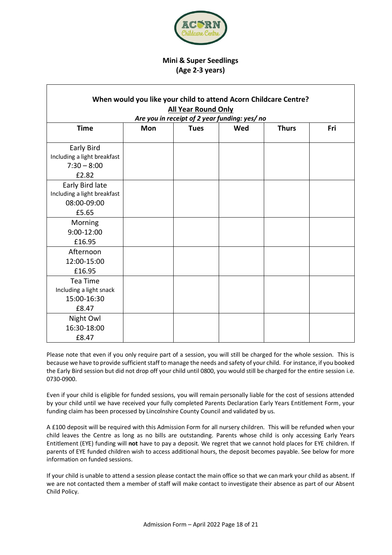

## **Mini & Super Seedlings (Age 2-3 years)**

| When would you like your child to attend Acorn Childcare Centre?       |            |                            |                                               |              |     |
|------------------------------------------------------------------------|------------|----------------------------|-----------------------------------------------|--------------|-----|
|                                                                        |            | <b>All Year Round Only</b> |                                               |              |     |
|                                                                        |            |                            | Are you in receipt of 2 year funding: yes/ no |              |     |
| <b>Time</b>                                                            | <b>Mon</b> | <b>Tues</b>                | Wed                                           | <b>Thurs</b> | Fri |
| Early Bird<br>Including a light breakfast<br>$7:30 - 8:00$             |            |                            |                                               |              |     |
| £2.82                                                                  |            |                            |                                               |              |     |
| Early Bird late<br>Including a light breakfast<br>08:00-09:00<br>£5.65 |            |                            |                                               |              |     |
| Morning<br>9:00-12:00<br>£16.95                                        |            |                            |                                               |              |     |
| Afternoon<br>12:00-15:00<br>£16.95                                     |            |                            |                                               |              |     |
| Tea Time<br>Including a light snack<br>15:00-16:30<br>£8.47            |            |                            |                                               |              |     |
| Night Owl<br>16:30-18:00<br>£8.47                                      |            |                            |                                               |              |     |

Please note that even if you only require part of a session, you will still be charged for the whole session. This is because we have to provide sufficient staff to manage the needs and safety of your child. For instance, if you booked the Early Bird session but did not drop off your child until 0800, you would still be charged for the entire session i.e. 0730-0900.

Even if your child is eligible for funded sessions, you will remain personally liable for the cost of sessions attended by your child until we have received your fully completed Parents Declaration Early Years Entitlement Form, your funding claim has been processed by Lincolnshire County Council and validated by us.

A £100 deposit will be required with this Admission Form for all nursery children. This will be refunded when your child leaves the Centre as long as no bills are outstanding. Parents whose child is only accessing Early Years Entitlement (EYE) funding will **not** have to pay a deposit. We regret that we cannot hold places for EYE children. If parents of EYE funded children wish to access additional hours, the deposit becomes payable. See below for more information on funded sessions.

If your child is unable to attend a session please contact the main office so that we can mark your child as absent. If we are not contacted them a member of staff will make contact to investigate their absence as part of our Absent Child Policy.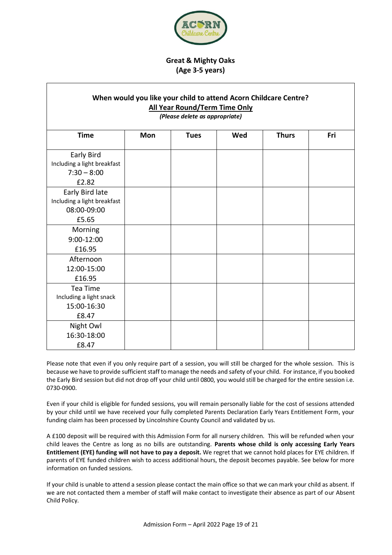

## **Great & Mighty Oaks (Age 3-5 years)**

| When would you like your child to attend Acorn Childcare Centre?<br><b>All Year Round/Term Time Only</b><br>(Please delete as appropriate) |     |             |     |              |     |
|--------------------------------------------------------------------------------------------------------------------------------------------|-----|-------------|-----|--------------|-----|
| <b>Time</b>                                                                                                                                | Mon | <b>Tues</b> | Wed | <b>Thurs</b> | Fri |
| Early Bird<br>Including a light breakfast<br>$7:30 - 8:00$<br>£2.82                                                                        |     |             |     |              |     |
| Early Bird late<br>Including a light breakfast<br>08:00-09:00<br>£5.65                                                                     |     |             |     |              |     |
| Morning<br>9:00-12:00<br>£16.95                                                                                                            |     |             |     |              |     |
| Afternoon<br>12:00-15:00<br>£16.95                                                                                                         |     |             |     |              |     |
| Tea Time<br>Including a light snack<br>15:00-16:30<br>£8.47                                                                                |     |             |     |              |     |
| Night Owl<br>16:30-18:00<br>£8.47                                                                                                          |     |             |     |              |     |

Please note that even if you only require part of a session, you will still be charged for the whole session. This is because we have to provide sufficient staff to manage the needs and safety of your child. For instance, if you booked the Early Bird session but did not drop off your child until 0800, you would still be charged for the entire session i.e. 0730-0900.

Even if your child is eligible for funded sessions, you will remain personally liable for the cost of sessions attended by your child until we have received your fully completed Parents Declaration Early Years Entitlement Form, your funding claim has been processed by Lincolnshire County Council and validated by us.

A £100 deposit will be required with this Admission Form for all nursery children. This will be refunded when your child leaves the Centre as long as no bills are outstanding. **Parents whose child is only accessing Early Years Entitlement (EYE) funding will not have to pay a deposit.** We regret that we cannot hold places for EYE children. If parents of EYE funded children wish to access additional hours, the deposit becomes payable. See below for more information on funded sessions.

If your child is unable to attend a session please contact the main office so that we can mark your child as absent. If we are not contacted them a member of staff will make contact to investigate their absence as part of our Absent Child Policy.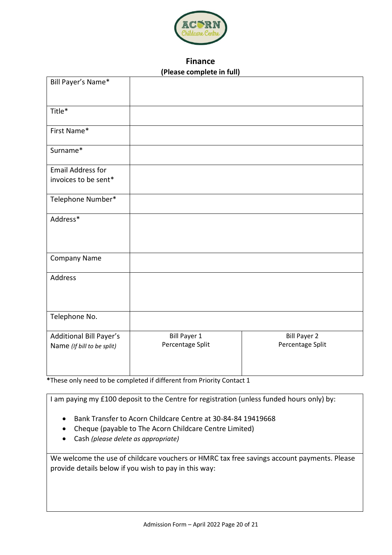

# **Finance (Please complete in full)**

| Bill Payer's Name*         |                     |                     |
|----------------------------|---------------------|---------------------|
| Title*                     |                     |                     |
| First Name*                |                     |                     |
| Surname*                   |                     |                     |
| <b>Email Address for</b>   |                     |                     |
| invoices to be sent*       |                     |                     |
| Telephone Number*          |                     |                     |
| Address*                   |                     |                     |
| Company Name               |                     |                     |
| Address                    |                     |                     |
| Telephone No.              |                     |                     |
| Additional Bill Payer's    | <b>Bill Payer 1</b> | <b>Bill Payer 2</b> |
| Name (If bill to be split) | Percentage Split    | Percentage Split    |

**\***These only need to be completed if different from Priority Contact 1

I am paying my £100 deposit to the Centre for registration (unless funded hours only) by:

- Bank Transfer to Acorn Childcare Centre at 30-84-84 19419668
- Cheque (payable to The Acorn Childcare Centre Limited)
- Cash *(please delete as appropriate)*

We welcome the use of childcare vouchers or HMRC tax free savings account payments. Please provide details below if you wish to pay in this way: